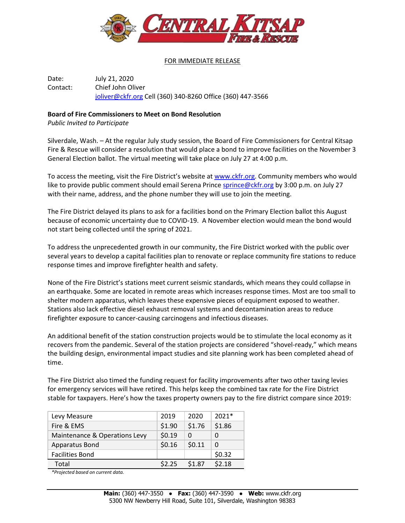

## FOR IMMEDIATE RELEASE

Date: July 21, 2020 Contact: Chief John Oliver [joliver@ckfr.org](mailto:joliver@ckfr.org) Cell (360) 340-8260 Office (360) 447-3566

## **Board of Fire Commissioners to Meet on Bond Resolution**

*Public Invited to Participate*

Silverdale, Wash. – At the regular July study session, the Board of Fire Commissioners for Central Kitsap Fire & Rescue will consider a resolution that would place a bond to improve facilities on the November 3 General Election ballot. The virtual meeting will take place on July 27 at 4:00 p.m.

To access the meeting, visit the Fire District's website at [www.ckfr.org.](http://www.ckfr.org/) Community members who would like to provide public comment should email Serena Prince [sprince@ckfr.org](mailto:sprince@ckfr.org) by 3:00 p.m. on July 27 with their name, address, and the phone number they will use to join the meeting.

The Fire District delayed its plans to ask for a facilities bond on the Primary Election ballot this August because of economic uncertainty due to COVID-19. A November election would mean the bond would not start being collected until the spring of 2021.

To address the unprecedented growth in our community, the Fire District worked with the public over several years to develop a capital facilities plan to renovate or replace community fire stations to reduce response times and improve firefighter health and safety.

None of the Fire District's stations meet current seismic standards, which means they could collapse in an earthquake. Some are located in remote areas which increases response times. Most are too small to shelter modern apparatus, which leaves these expensive pieces of equipment exposed to weather. Stations also lack effective diesel exhaust removal systems and decontamination areas to reduce firefighter exposure to cancer-causing carcinogens and infectious diseases.

An additional benefit of the station construction projects would be to stimulate the local economy as it recovers from the pandemic. Several of the station projects are considered "shovel-ready," which means the building design, environmental impact studies and site planning work has been completed ahead of time.

The Fire District also timed the funding request for facility improvements after two other taxing levies for emergency services will have retired. This helps keep the combined tax rate for the Fire District stable for taxpayers. Here's how the taxes property owners pay to the fire district compare since 2019:

| Levy Measure                  | 2019   | 2020   | $2021*$  |
|-------------------------------|--------|--------|----------|
| Fire & EMS                    | \$1.90 | \$1.76 | \$1.86   |
| Maintenance & Operations Levy | \$0.19 | O      |          |
| Apparatus Bond                | \$0.16 | \$0.11 | $\Omega$ |
| <b>Facilities Bond</b>        |        |        | \$0.32   |
| Total                         | \$2.25 | \$1.87 | \$2.18   |

*\*Projected based on current data.*